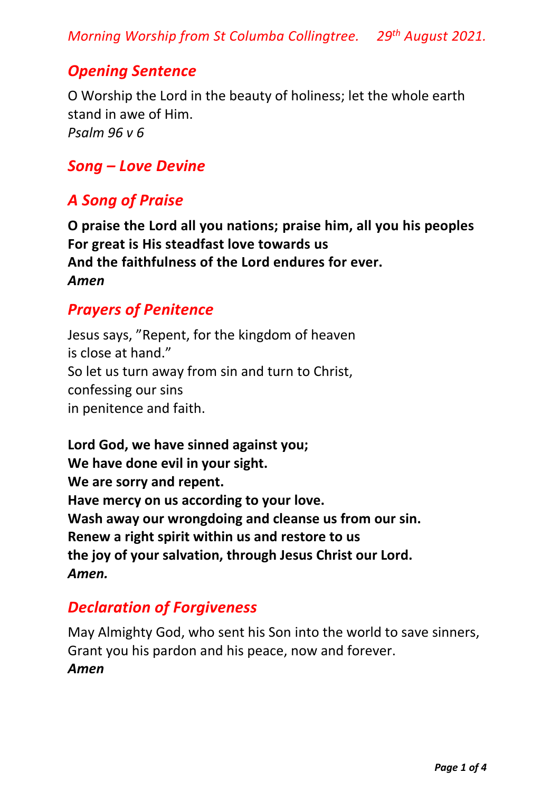*Morning Worship from St Columba Collingtree. 29 th August 2021.*

## *Opening Sentence*

O Worship the Lord in the beauty of holiness; let the whole earth stand in awe of Him. *Psalm 96 v 6*

## *Song – Love Devine*

# *A Song of Praise*

**O praise the Lord all you nations; praise him, all you his peoples For great is His steadfast love towards us And the faithfulness of the Lord endures for ever.**  *Amen*

# *Prayers of Penitence*

Jesus says, "Repent, for the kingdom of heaven is close at hand." So let us turn away from sin and turn to Christ, confessing our sins in penitence and faith.

**Lord God, we have sinned against you; We have done evil in your sight. We are sorry and repent. Have mercy on us according to your love. Wash away our wrongdoing and cleanse us from our sin. Renew a right spirit within us and restore to us the joy of your salvation, through Jesus Christ our Lord.** *Amen.*

# *Declaration of Forgiveness*

May Almighty God, who sent his Son into the world to save sinners, Grant you his pardon and his peace, now and forever. *Amen*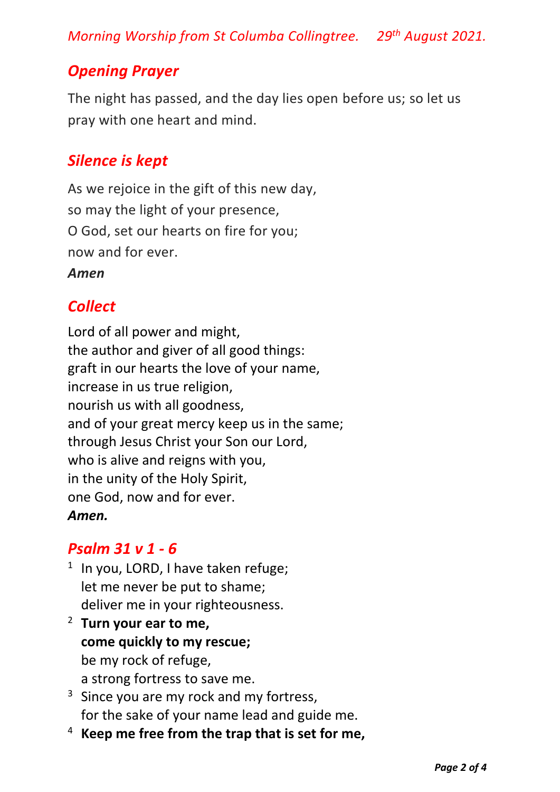*Morning Worship from St Columba Collingtree. 29 th August 2021.*

# *Opening Prayer*

The night has passed, and the day lies open before us; so let us pray with one heart and mind.

## *Silence is kept*

As we rejoice in the gift of this new day, so may the light of your presence, O God, set our hearts on fire for you; now and for ever.

#### *Amen*

# *Collect*

Lord of all power and might, the author and giver of all good things: graft in our hearts the love of your name, increase in us true religion, nourish us with all goodness, and of your great mercy keep us in the same; through Jesus Christ your Son our Lord, who is alive and reigns with you, in the unity of the Holy Spirit, one God, now and for ever. *Amen.*

### *Psalm 31 v 1 - 6*

- <sup>1</sup> In you, LORD, I have taken refuge; let me never be put to shame; deliver me in your righteousness.
- <sup>2</sup> **Turn your ear to me, come quickly to my rescue;** be my rock of refuge, a strong fortress to save me.
- $3$  Since you are my rock and my fortress, for the sake of your name lead and guide me.
- <sup>4</sup> **Keep me free from the trap that is set for me,**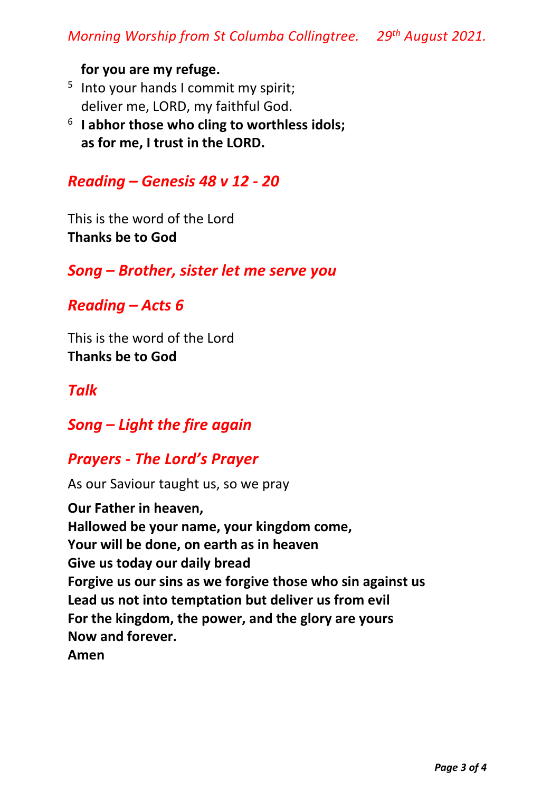#### **for you are my refuge.**

- <sup>5</sup> Into your hands I commit my spirit; deliver me, LORD, my faithful God.
- 6 **I abhor those who cling to worthless idols; as for me, I trust in the LORD.**

#### *Reading – Genesis 48 v 12 - 20*

This is the word of the Lord **Thanks be to God**

*Song – Brother, sister let me serve you*

*Reading – Acts 6*

This is the word of the Lord **Thanks be to God**

*Talk*

*Song – Light the fire again*

#### *Prayers - The Lord's Prayer*

As our Saviour taught us, so we pray

**Our Father in heaven, Hallowed be your name, your kingdom come, Your will be done, on earth as in heaven Give us today our daily bread Forgive us our sins as we forgive those who sin against us Lead us not into temptation but deliver us from evil For the kingdom, the power, and the glory are yours Now and forever. Amen**